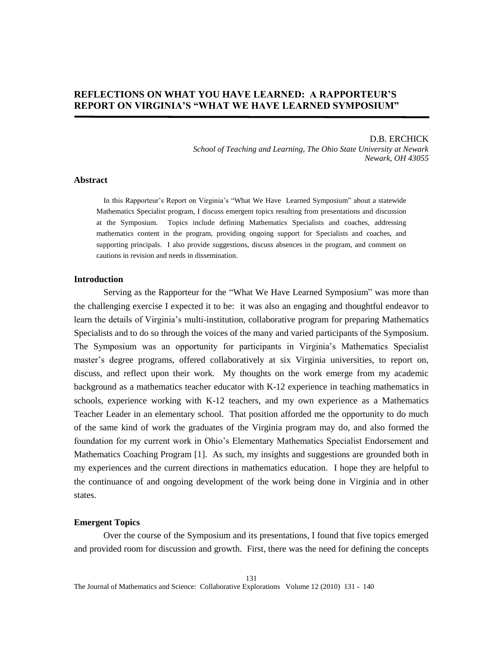# **REFLECTIONS ON WHAT YOU HAVE LEARNED: A RAPPORTEUR'S REPORT ON VIRGINIA'S "WHAT WE HAVE LEARNED SYMPOSIUM"**

# D.B. ERCHICK

*School of Teaching and Learning, The Ohio State University at Newark Newark, OH 43055* 

# **Abstract**

In this Rapporteur's Report on Virginia's "What We Have Learned Symposium" about a statewide Mathematics Specialist program, I discuss emergent topics resulting from presentations and discussion at the Symposium. Topics include defining Mathematics Specialists and coaches, addressing mathematics content in the program, providing ongoing support for Specialists and coaches, and supporting principals. I also provide suggestions, discuss absences in the program, and comment on cautions in revision and needs in dissemination.

#### **Introduction**

Serving as the Rapporteur for the "What We Have Learned Symposium" was more than the challenging exercise I expected it to be: it was also an engaging and thoughtful endeavor to learn the details of Virginia's multi-institution, collaborative program for preparing Mathematics Specialists and to do so through the voices of the many and varied participants of the Symposium. The Symposium was an opportunity for participants in Virginia's Mathematics Specialist master's degree programs, offered collaboratively at six Virginia universities, to report on, discuss, and reflect upon their work. My thoughts on the work emerge from my academic background as a mathematics teacher educator with K-12 experience in teaching mathematics in schools, experience working with K-12 teachers, and my own experience as a Mathematics Teacher Leader in an elementary school. That position afforded me the opportunity to do much of the same kind of work the graduates of the Virginia program may do, and also formed the foundation for my current work in Ohio's Elementary Mathematics Specialist Endorsement and Mathematics Coaching Program [1]. As such, my insights and suggestions are grounded both in my experiences and the current directions in mathematics education. I hope they are helpful to the continuance of and ongoing development of the work being done in Virginia and in other states.

#### **Emergent Topics**

Over the course of the Symposium and its presentations, I found that five topics emerged and provided room for discussion and growth. First, there was the need for defining the concepts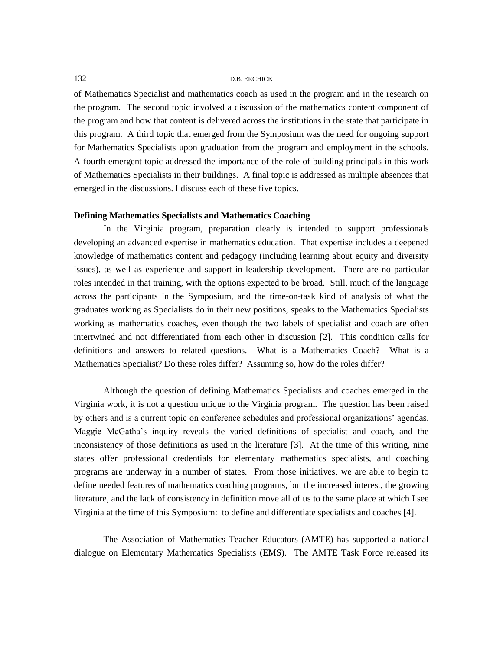of Mathematics Specialist and mathematics coach as used in the program and in the research on the program. The second topic involved a discussion of the mathematics content component of the program and how that content is delivered across the institutions in the state that participate in this program. A third topic that emerged from the Symposium was the need for ongoing support for Mathematics Specialists upon graduation from the program and employment in the schools. A fourth emergent topic addressed the importance of the role of building principals in this work of Mathematics Specialists in their buildings. A final topic is addressed as multiple absences that emerged in the discussions. I discuss each of these five topics.

# **Defining Mathematics Specialists and Mathematics Coaching**

In the Virginia program, preparation clearly is intended to support professionals developing an advanced expertise in mathematics education. That expertise includes a deepened knowledge of mathematics content and pedagogy (including learning about equity and diversity issues), as well as experience and support in leadership development. There are no particular roles intended in that training, with the options expected to be broad. Still, much of the language across the participants in the Symposium, and the time-on-task kind of analysis of what the graduates working as Specialists do in their new positions, speaks to the Mathematics Specialists working as mathematics coaches, even though the two labels of specialist and coach are often intertwined and not differentiated from each other in discussion [2]. This condition calls for definitions and answers to related questions. What is a Mathematics Coach? What is a Mathematics Specialist? Do these roles differ? Assuming so, how do the roles differ?

Although the question of defining Mathematics Specialists and coaches emerged in the Virginia work, it is not a question unique to the Virginia program. The question has been raised by others and is a current topic on conference schedules and professional organizations' agendas. Maggie McGatha's inquiry reveals the varied definitions of specialist and coach, and the inconsistency of those definitions as used in the literature [3]. At the time of this writing, nine states offer professional credentials for elementary mathematics specialists, and coaching programs are underway in a number of states. From those initiatives, we are able to begin to define needed features of mathematics coaching programs, but the increased interest, the growing literature, and the lack of consistency in definition move all of us to the same place at which I see Virginia at the time of this Symposium: to define and differentiate specialists and coaches [4].

The Association of Mathematics Teacher Educators (AMTE) has supported a national dialogue on Elementary Mathematics Specialists (EMS). The AMTE Task Force released its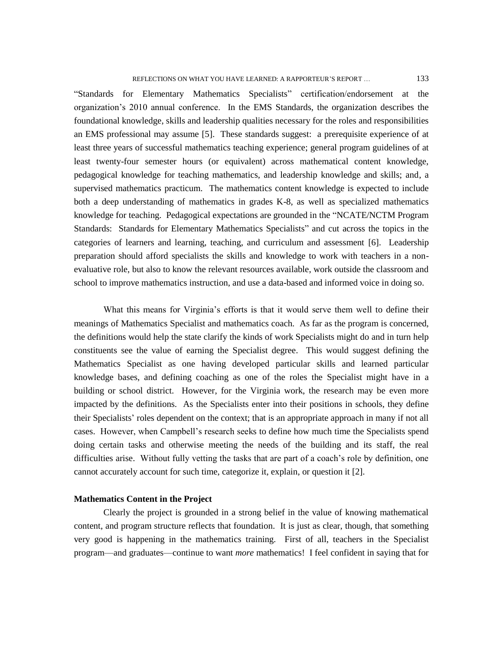"Standards for Elementary Mathematics Specialists" certification/endorsement at the organization's 2010 annual conference. In the EMS Standards, the organization describes the foundational knowledge, skills and leadership qualities necessary for the roles and responsibilities an EMS professional may assume [5]. These standards suggest: a prerequisite experience of at least three years of successful mathematics teaching experience; general program guidelines of at least twenty-four semester hours (or equivalent) across mathematical content knowledge, pedagogical knowledge for teaching mathematics, and leadership knowledge and skills; and, a supervised mathematics practicum. The mathematics content knowledge is expected to include both a deep understanding of mathematics in grades K-8, as well as specialized mathematics knowledge for teaching. Pedagogical expectations are grounded in the "NCATE/NCTM Program Standards: Standards for Elementary Mathematics Specialists" and cut across the topics in the categories of learners and learning, teaching, and curriculum and assessment [6]. Leadership preparation should afford specialists the skills and knowledge to work with teachers in a nonevaluative role, but also to know the relevant resources available, work outside the classroom and school to improve mathematics instruction, and use a data-based and informed voice in doing so.

What this means for Virginia's efforts is that it would serve them well to define their meanings of Mathematics Specialist and mathematics coach. As far as the program is concerned, the definitions would help the state clarify the kinds of work Specialists might do and in turn help constituents see the value of earning the Specialist degree. This would suggest defining the Mathematics Specialist as one having developed particular skills and learned particular knowledge bases, and defining coaching as one of the roles the Specialist might have in a building or school district. However, for the Virginia work, the research may be even more impacted by the definitions. As the Specialists enter into their positions in schools, they define their Specialists' roles dependent on the context; that is an appropriate approach in many if not all cases. However, when Campbell's research seeks to define how much time the Specialists spend doing certain tasks and otherwise meeting the needs of the building and its staff, the real difficulties arise. Without fully vetting the tasks that are part of a coach's role by definition, one cannot accurately account for such time, categorize it, explain, or question it [2].

# **Mathematics Content in the Project**

Clearly the project is grounded in a strong belief in the value of knowing mathematical content, and program structure reflects that foundation. It is just as clear, though, that something very good is happening in the mathematics training. First of all, teachers in the Specialist program—and graduates—continue to want *more* mathematics! I feel confident in saying that for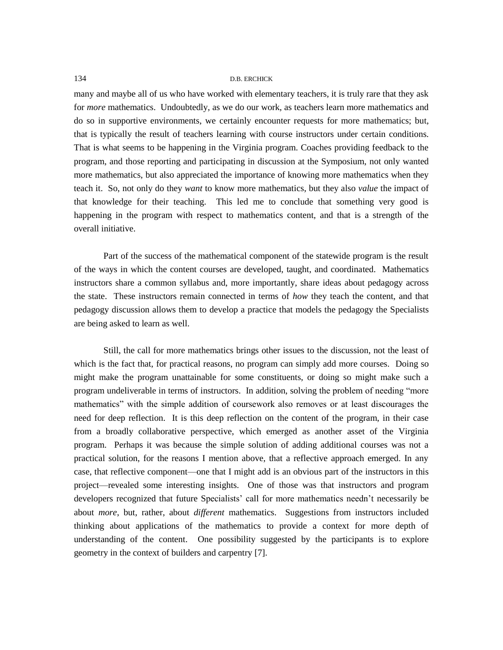many and maybe all of us who have worked with elementary teachers, it is truly rare that they ask for *more* mathematics. Undoubtedly, as we do our work, as teachers learn more mathematics and do so in supportive environments, we certainly encounter requests for more mathematics; but, that is typically the result of teachers learning with course instructors under certain conditions. That is what seems to be happening in the Virginia program. Coaches providing feedback to the program, and those reporting and participating in discussion at the Symposium, not only wanted more mathematics, but also appreciated the importance of knowing more mathematics when they teach it. So, not only do they *want* to know more mathematics, but they also *value* the impact of that knowledge for their teaching. This led me to conclude that something very good is happening in the program with respect to mathematics content, and that is a strength of the overall initiative.

Part of the success of the mathematical component of the statewide program is the result of the ways in which the content courses are developed, taught, and coordinated. Mathematics instructors share a common syllabus and, more importantly, share ideas about pedagogy across the state. These instructors remain connected in terms of *how* they teach the content, and that pedagogy discussion allows them to develop a practice that models the pedagogy the Specialists are being asked to learn as well.

Still, the call for more mathematics brings other issues to the discussion, not the least of which is the fact that, for practical reasons, no program can simply add more courses. Doing so might make the program unattainable for some constituents, or doing so might make such a program undeliverable in terms of instructors. In addition, solving the problem of needing "more mathematics" with the simple addition of coursework also removes or at least discourages the need for deep reflection. It is this deep reflection on the content of the program, in their case from a broadly collaborative perspective, which emerged as another asset of the Virginia program. Perhaps it was because the simple solution of adding additional courses was not a practical solution, for the reasons I mention above, that a reflective approach emerged. In any case, that reflective component—one that I might add is an obvious part of the instructors in this project—revealed some interesting insights. One of those was that instructors and program developers recognized that future Specialists' call for more mathematics needn't necessarily be about *more*, but, rather, about *different* mathematics. Suggestions from instructors included thinking about applications of the mathematics to provide a context for more depth of understanding of the content. One possibility suggested by the participants is to explore geometry in the context of builders and carpentry [7].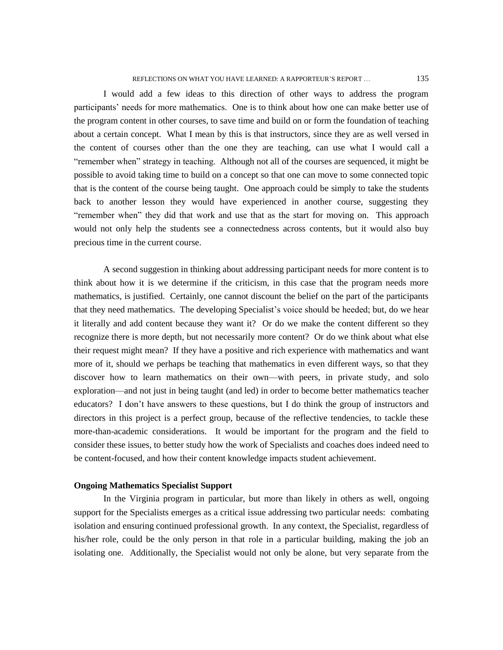#### REFLECTIONS ON WHAT YOU HAVE LEARNED: A RAPPORTEUR'S REPORT ...  $135$

I would add a few ideas to this direction of other ways to address the program participants' needs for more mathematics. One is to think about how one can make better use of the program content in other courses, to save time and build on or form the foundation of teaching about a certain concept. What I mean by this is that instructors, since they are as well versed in the content of courses other than the one they are teaching, can use what I would call a "remember when" strategy in teaching. Although not all of the courses are sequenced, it might be possible to avoid taking time to build on a concept so that one can move to some connected topic that is the content of the course being taught. One approach could be simply to take the students back to another lesson they would have experienced in another course, suggesting they "remember when" they did that work and use that as the start for moving on. This approach would not only help the students see a connectedness across contents, but it would also buy precious time in the current course.

A second suggestion in thinking about addressing participant needs for more content is to think about how it is we determine if the criticism, in this case that the program needs more mathematics, is justified. Certainly, one cannot discount the belief on the part of the participants that they need mathematics. The developing Specialist's voice should be heeded; but, do we hear it literally and add content because they want it? Or do we make the content different so they recognize there is more depth, but not necessarily more content? Or do we think about what else their request might mean? If they have a positive and rich experience with mathematics and want more of it, should we perhaps be teaching that mathematics in even different ways, so that they discover how to learn mathematics on their own—with peers, in private study, and solo exploration—and not just in being taught (and led) in order to become better mathematics teacher educators? I don't have answers to these questions, but I do think the group of instructors and directors in this project is a perfect group, because of the reflective tendencies, to tackle these more-than-academic considerations. It would be important for the program and the field to consider these issues, to better study how the work of Specialists and coaches does indeed need to be content-focused, and how their content knowledge impacts student achievement.

# **Ongoing Mathematics Specialist Support**

In the Virginia program in particular, but more than likely in others as well, ongoing support for the Specialists emerges as a critical issue addressing two particular needs: combating isolation and ensuring continued professional growth. In any context, the Specialist, regardless of his/her role, could be the only person in that role in a particular building, making the job an isolating one. Additionally, the Specialist would not only be alone, but very separate from the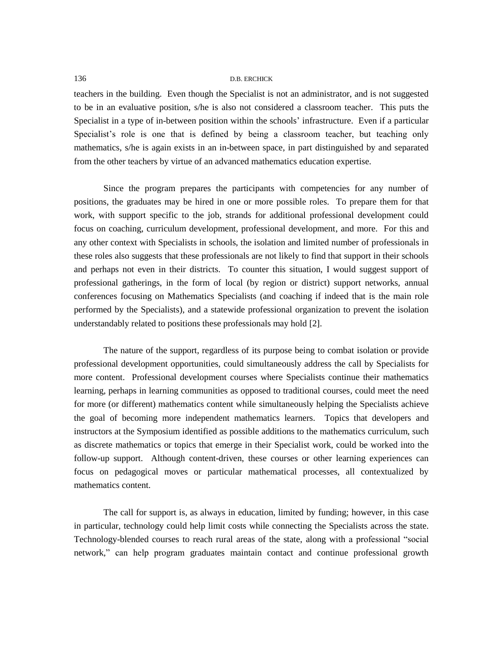teachers in the building. Even though the Specialist is not an administrator, and is not suggested to be in an evaluative position, s/he is also not considered a classroom teacher. This puts the Specialist in a type of in-between position within the schools' infrastructure. Even if a particular Specialist's role is one that is defined by being a classroom teacher, but teaching only mathematics, s/he is again exists in an in-between space, in part distinguished by and separated from the other teachers by virtue of an advanced mathematics education expertise.

Since the program prepares the participants with competencies for any number of positions, the graduates may be hired in one or more possible roles. To prepare them for that work, with support specific to the job, strands for additional professional development could focus on coaching, curriculum development, professional development, and more. For this and any other context with Specialists in schools, the isolation and limited number of professionals in these roles also suggests that these professionals are not likely to find that support in their schools and perhaps not even in their districts. To counter this situation, I would suggest support of professional gatherings, in the form of local (by region or district) support networks, annual conferences focusing on Mathematics Specialists (and coaching if indeed that is the main role performed by the Specialists), and a statewide professional organization to prevent the isolation understandably related to positions these professionals may hold [2].

The nature of the support, regardless of its purpose being to combat isolation or provide professional development opportunities, could simultaneously address the call by Specialists for more content. Professional development courses where Specialists continue their mathematics learning, perhaps in learning communities as opposed to traditional courses, could meet the need for more (or different) mathematics content while simultaneously helping the Specialists achieve the goal of becoming more independent mathematics learners. Topics that developers and instructors at the Symposium identified as possible additions to the mathematics curriculum, such as discrete mathematics or topics that emerge in their Specialist work, could be worked into the follow-up support. Although content-driven, these courses or other learning experiences can focus on pedagogical moves or particular mathematical processes, all contextualized by mathematics content.

The call for support is, as always in education, limited by funding; however, in this case in particular, technology could help limit costs while connecting the Specialists across the state. Technology-blended courses to reach rural areas of the state, along with a professional "social network," can help program graduates maintain contact and continue professional growth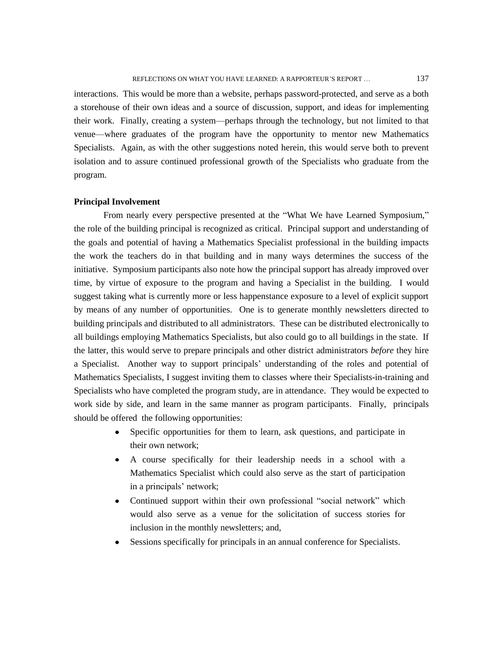interactions. This would be more than a website, perhaps password-protected, and serve as a both a storehouse of their own ideas and a source of discussion, support, and ideas for implementing their work. Finally, creating a system—perhaps through the technology, but not limited to that venue—where graduates of the program have the opportunity to mentor new Mathematics Specialists. Again, as with the other suggestions noted herein, this would serve both to prevent isolation and to assure continued professional growth of the Specialists who graduate from the program.

# **Principal Involvement**

From nearly every perspective presented at the "What We have Learned Symposium," the role of the building principal is recognized as critical. Principal support and understanding of the goals and potential of having a Mathematics Specialist professional in the building impacts the work the teachers do in that building and in many ways determines the success of the initiative. Symposium participants also note how the principal support has already improved over time, by virtue of exposure to the program and having a Specialist in the building. I would suggest taking what is currently more or less happenstance exposure to a level of explicit support by means of any number of opportunities. One is to generate monthly newsletters directed to building principals and distributed to all administrators. These can be distributed electronically to all buildings employing Mathematics Specialists, but also could go to all buildings in the state. If the latter, this would serve to prepare principals and other district administrators *before* they hire a Specialist. Another way to support principals' understanding of the roles and potential of Mathematics Specialists, I suggest inviting them to classes where their Specialists-in-training and Specialists who have completed the program study, are in attendance. They would be expected to work side by side, and learn in the same manner as program participants. Finally, principals should be offered the following opportunities:

- Specific opportunities for them to learn, ask questions, and participate in their own network;
- A course specifically for their leadership needs in a school with a Mathematics Specialist which could also serve as the start of participation in a principals' network;
- Continued support within their own professional "social network" which would also serve as a venue for the solicitation of success stories for inclusion in the monthly newsletters; and,
- $\bullet$ Sessions specifically for principals in an annual conference for Specialists.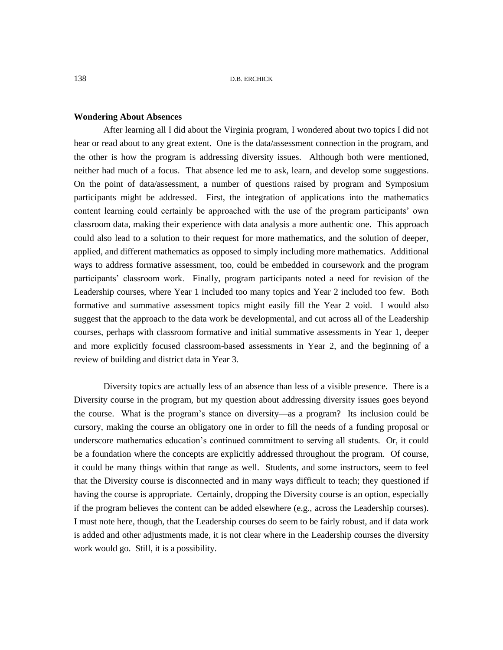#### **Wondering About Absences**

After learning all I did about the Virginia program, I wondered about two topics I did not hear or read about to any great extent. One is the data/assessment connection in the program, and the other is how the program is addressing diversity issues. Although both were mentioned, neither had much of a focus. That absence led me to ask, learn, and develop some suggestions. On the point of data/assessment, a number of questions raised by program and Symposium participants might be addressed. First, the integration of applications into the mathematics content learning could certainly be approached with the use of the program participants' own classroom data, making their experience with data analysis a more authentic one. This approach could also lead to a solution to their request for more mathematics, and the solution of deeper, applied, and different mathematics as opposed to simply including more mathematics. Additional ways to address formative assessment, too, could be embedded in coursework and the program participants' classroom work. Finally, program participants noted a need for revision of the Leadership courses, where Year 1 included too many topics and Year 2 included too few. Both formative and summative assessment topics might easily fill the Year 2 void. I would also suggest that the approach to the data work be developmental, and cut across all of the Leadership courses, perhaps with classroom formative and initial summative assessments in Year 1, deeper and more explicitly focused classroom-based assessments in Year 2, and the beginning of a review of building and district data in Year 3.

Diversity topics are actually less of an absence than less of a visible presence. There is a Diversity course in the program, but my question about addressing diversity issues goes beyond the course. What is the program's stance on diversity—as a program? Its inclusion could be cursory, making the course an obligatory one in order to fill the needs of a funding proposal or underscore mathematics education's continued commitment to serving all students. Or, it could be a foundation where the concepts are explicitly addressed throughout the program. Of course, it could be many things within that range as well. Students, and some instructors, seem to feel that the Diversity course is disconnected and in many ways difficult to teach; they questioned if having the course is appropriate. Certainly, dropping the Diversity course is an option, especially if the program believes the content can be added elsewhere (e.g., across the Leadership courses). I must note here, though, that the Leadership courses do seem to be fairly robust, and if data work is added and other adjustments made, it is not clear where in the Leadership courses the diversity work would go. Still, it is a possibility.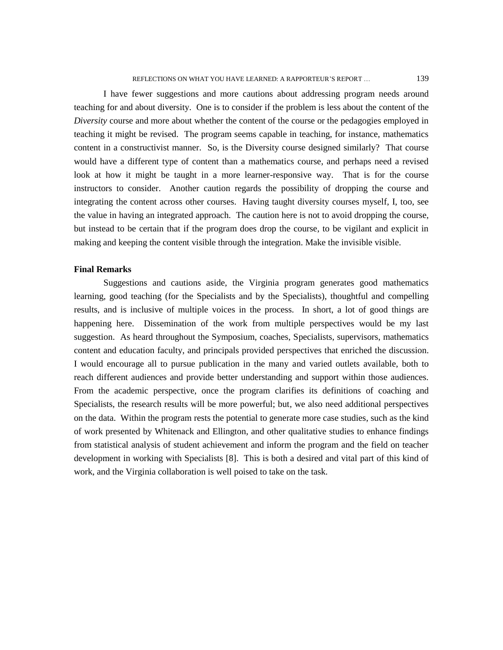I have fewer suggestions and more cautions about addressing program needs around teaching for and about diversity. One is to consider if the problem is less about the content of the *Diversity* course and more about whether the content of the course or the pedagogies employed in teaching it might be revised. The program seems capable in teaching, for instance, mathematics content in a constructivist manner. So, is the Diversity course designed similarly? That course would have a different type of content than a mathematics course, and perhaps need a revised look at how it might be taught in a more learner-responsive way. That is for the course instructors to consider. Another caution regards the possibility of dropping the course and integrating the content across other courses. Having taught diversity courses myself, I, too, see the value in having an integrated approach. The caution here is not to avoid dropping the course, but instead to be certain that if the program does drop the course, to be vigilant and explicit in making and keeping the content visible through the integration. Make the invisible visible.

### **Final Remarks**

Suggestions and cautions aside, the Virginia program generates good mathematics learning, good teaching (for the Specialists and by the Specialists), thoughtful and compelling results, and is inclusive of multiple voices in the process. In short, a lot of good things are happening here. Dissemination of the work from multiple perspectives would be my last suggestion. As heard throughout the Symposium, coaches, Specialists, supervisors, mathematics content and education faculty, and principals provided perspectives that enriched the discussion. I would encourage all to pursue publication in the many and varied outlets available, both to reach different audiences and provide better understanding and support within those audiences. From the academic perspective, once the program clarifies its definitions of coaching and Specialists, the research results will be more powerful; but, we also need additional perspectives on the data. Within the program rests the potential to generate more case studies, such as the kind of work presented by Whitenack and Ellington, and other qualitative studies to enhance findings from statistical analysis of student achievement and inform the program and the field on teacher development in working with Specialists [8]. This is both a desired and vital part of this kind of work, and the Virginia collaboration is well poised to take on the task.